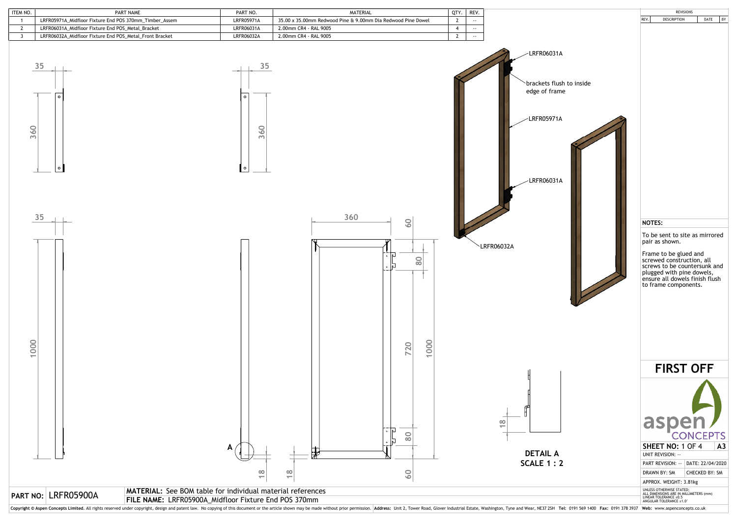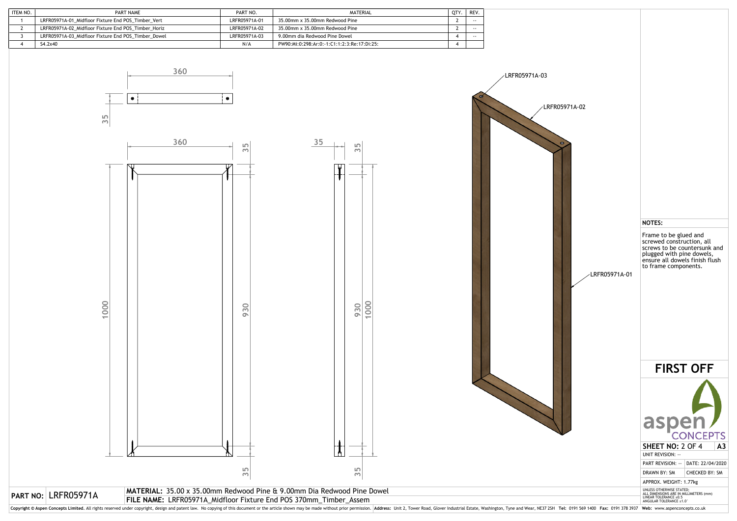| ITEM NO. | PART NAME                                           | PART NO.      | MATERIAL                                    | OTY. | REV.  |
|----------|-----------------------------------------------------|---------------|---------------------------------------------|------|-------|
|          | LRFR05971A-01 Midfloor Fixture End POS Timber Vert  | LRFR05971A-01 | 35.00mm x 35.00mm Redwood Pine              |      | $- -$ |
|          | LRFR05971A-02 Midfloor Fixture End POS Timber Horiz | LRFR05971A-02 | 35.00mm x 35.00mm Redwood Pine              |      | $- -$ |
|          | LRFR05971A-03 Midfloor Fixture End POS Timber Dowel | LRFR05971A-03 | 9.00mm dia Redwood Pine Dowel               |      | $- -$ |
|          | S4.2x40                                             | N/A           | PW90:Mi:0:298:Ar:0:-1:C1:1:2:3:Re:17:Di:25: |      |       |

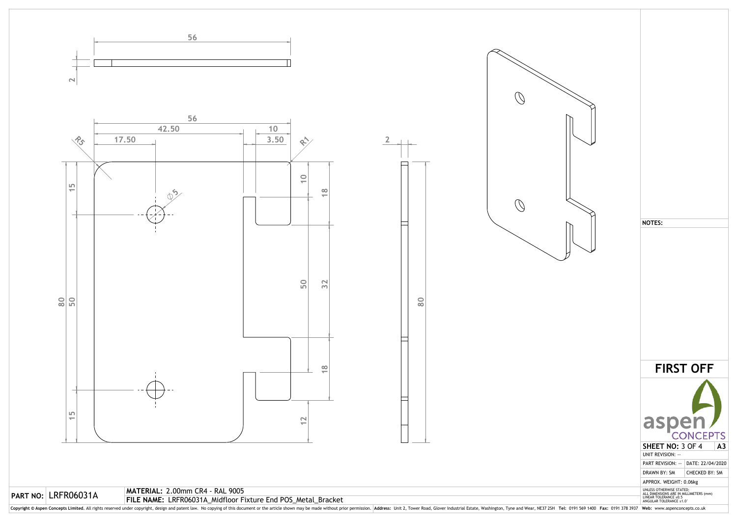